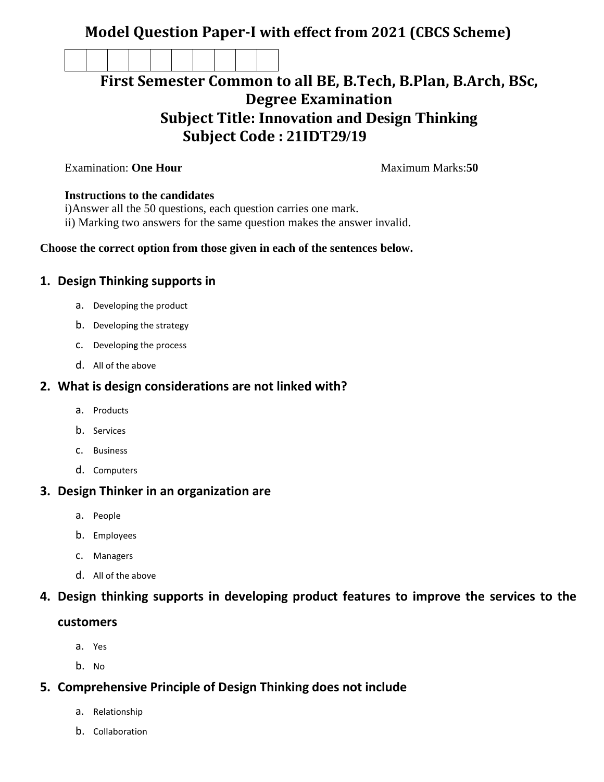## **Model Question Paper-I with effect from 2021 (CBCS Scheme)**

# **First Semester Common to all BE, B.Tech, B.Plan, B.Arch, BSc, Degree Examination Subject Title: Innovation and Design Thinking Subject Code : 21IDT29/19**

**Examination: One Hour Maximum Marks:50** 

#### **Instructions to the candidates**

i)Answer all the 50 questions, each question carries one mark.

ii) Marking two answers for the same question makes the answer invalid.

#### **Choose the correct option from those given in each of the sentences below.**

#### **1. Design Thinking supports in**

- a. Developing the product
- b. Developing the strategy
- c. Developing the process
- d. All of the above

#### **2. What is design considerations are not linked with?**

- a. Products
- b. Services
- c. Business
- d. Computers

#### **3. Design Thinker in an organization are**

- a. People
- b. Employees
- c. Managers
- d. All of the above

### **4. Design thinking supports in developing product features to improve the services to the**

#### **customers**

- a. Yes
- b. No

#### **5. Comprehensive Principle of Design Thinking does not include**

- a. Relationship
- b. Collaboration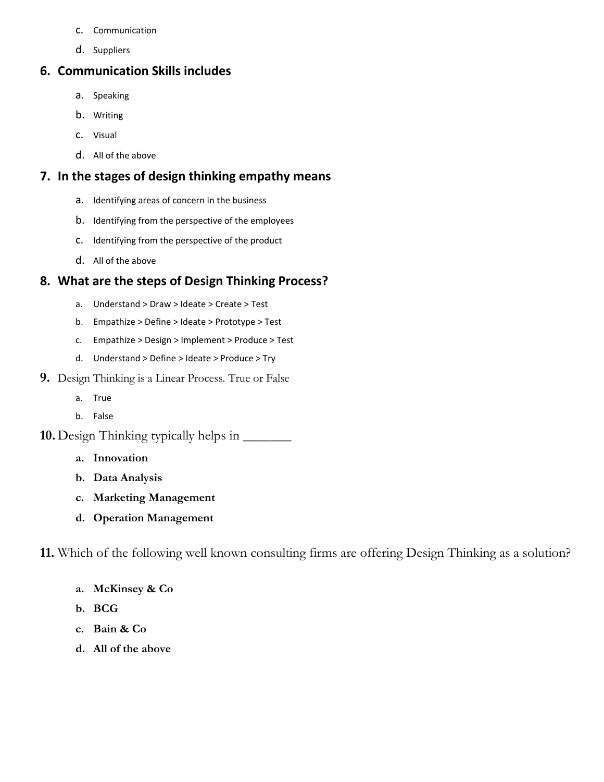- c. Communication
- d. Suppliers

#### **6. Communication Skills includes**

- a. Speaking
- b. Writing
- c. Visual
- d. All of the above

#### **7. In the stages of design thinking empathy means**

- a. Identifying areas of concern in the business
- b. Identifying from the perspective of the employees
- c. Identifying from the perspective of the product
- d. All of the above

## **8. What are the steps of Design Thinking Process?**

- a. Understand > Draw > Ideate > Create > Test
- b. Empathize > Define > Ideate > Prototype > Test
- c. Empathize > Design > Implement > Produce > Test
- d. Understand > Define > Ideate > Produce > Try
- **9.** Design Thinking is a Linear Process. True or False
	- a. True
	- b. False
- **10.** Design Thinking typically helps in \_\_\_\_\_\_\_
	- **a. Innovation**
	- **b. Data Analysis**
	- **c. Marketing Management**
	- **d. Operation Management**

**11.** Which of the following well known consulting firms are offering Design Thinking as a solution?

- **a. McKinsey & Co**
- **b. BCG**
- **c. Bain & Co**
- **d. All of the above**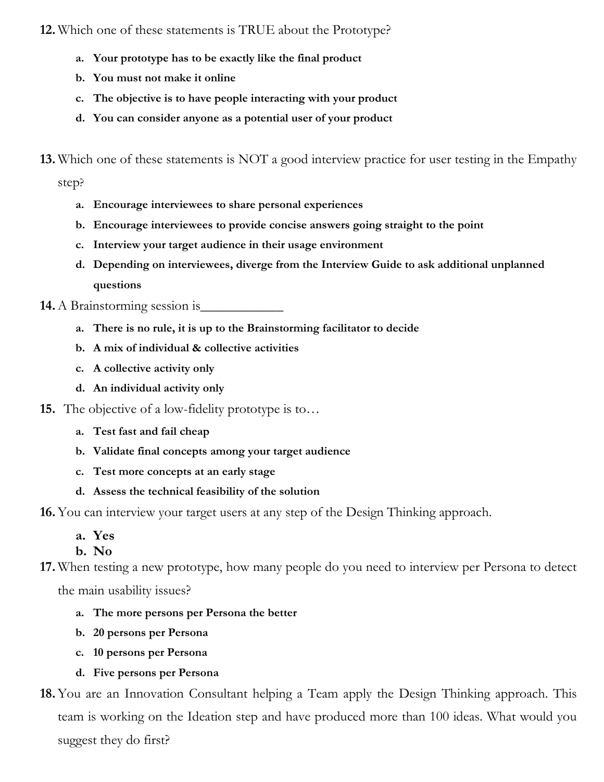**12.** Which one of these statements is TRUE about the Prototype?

- **a. Your prototype has to be exactly like the final product**
- **b. You must not make it online**
- **c. The objective is to have people interacting with your product**
- **d. You can consider anyone as a potential user of your product**
- **13.** Which one of these statements is NOT a good interview practice for user testing in the Empathy

step?

- **a. Encourage interviewees to share personal experiences**
- **b. Encourage interviewees to provide concise answers going straight to the point**
- **c. Interview your target audience in their usage environment**
- **d. Depending on interviewees, diverge from the Interview Guide to ask additional unplanned questions**
- **14.** A Brainstorming session is
	- **a. There is no rule, it is up to the Brainstorming facilitator to decide**
	- **b. A mix of individual & collective activities**
	- **c. A collective activity only**
	- **d. An individual activity only**
- **15.** The objective of a low-fidelity prototype is to...
	- **a. Test fast and fail cheap**
	- **b. Validate final concepts among your target audience**
	- **c. Test more concepts at an early stage**
	- **d. Assess the technical feasibility of the solution**

**16.**You can interview your target users at any step of the Design Thinking approach.

**a. Yes** 

**b. No** 

**17.** When testing a new prototype, how many people do you need to interview per Persona to detect

the main usability issues?

- **a. The more persons per Persona the better**
- **b. 20 persons per Persona**
- **c. 10 persons per Persona**
- **d. Five persons per Persona**
- **18.**You are an Innovation Consultant helping a Team apply the Design Thinking approach. This team is working on the Ideation step and have produced more than 100 ideas. What would you suggest they do first?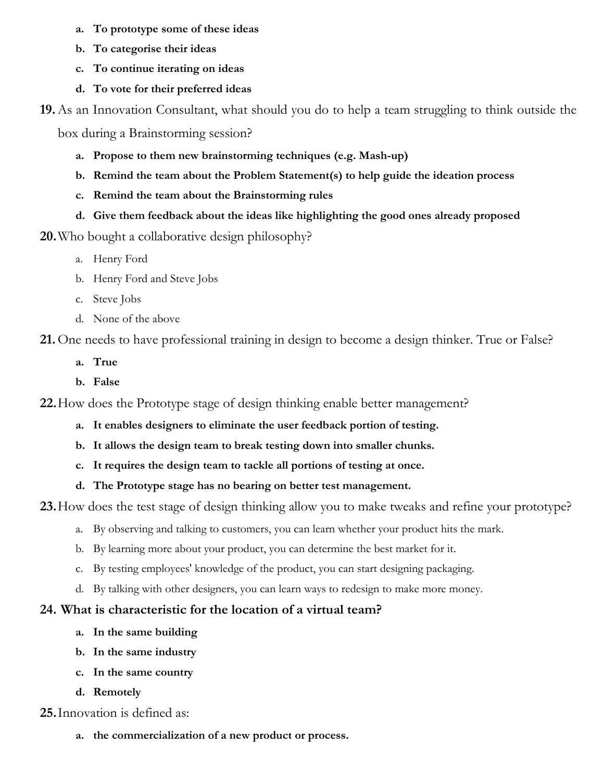- **a. To prototype some of these ideas**
- **b. To categorise their ideas**
- **c. To continue iterating on ideas**
- **d. To vote for their preferred ideas**

**19.**As an Innovation Consultant, what should you do to help a team struggling to think outside the

box during a Brainstorming session?

- **a. Propose to them new brainstorming techniques (e.g. Mash-up)**
- **b. Remind the team about the Problem Statement(s) to help guide the ideation process**
- **c. Remind the team about the Brainstorming rules**
- **d. Give them feedback about the ideas like highlighting the good ones already proposed**
- **20.**Who bought a collaborative design philosophy?
	- a. Henry Ford
	- b. Henry Ford and Steve Jobs
	- c. Steve Jobs
	- d. None of the above

**21.** One needs to have professional training in design to become a design thinker. True or False?

- **a. True**
- **b. False**

**22.**How does the Prototype stage of design thinking enable better management?

- **a. It enables designers to eliminate the user feedback portion of testing.**
- **b. It allows the design team to break testing down into smaller chunks.**
- **c. It requires the design team to tackle all portions of testing at once.**
- **d. The Prototype stage has no bearing on better test management.**

**23.**How does the test stage of design thinking allow you to make tweaks and refine your prototype?

- a. By observing and talking to customers, you can learn whether your product hits the mark.
- b. By learning more about your product, you can determine the best market for it.
- c. By testing employees' knowledge of the product, you can start designing packaging.
- d. By talking with other designers, you can learn ways to redesign to make more money.

### **24. What is characteristic for the location of a virtual team?**

- **a. In the same building**
- **b. In the same industry**
- **c. In the same country**
- **d. Remotely**

**25.**Innovation is defined as:

**a. the commercialization of a new product or process.**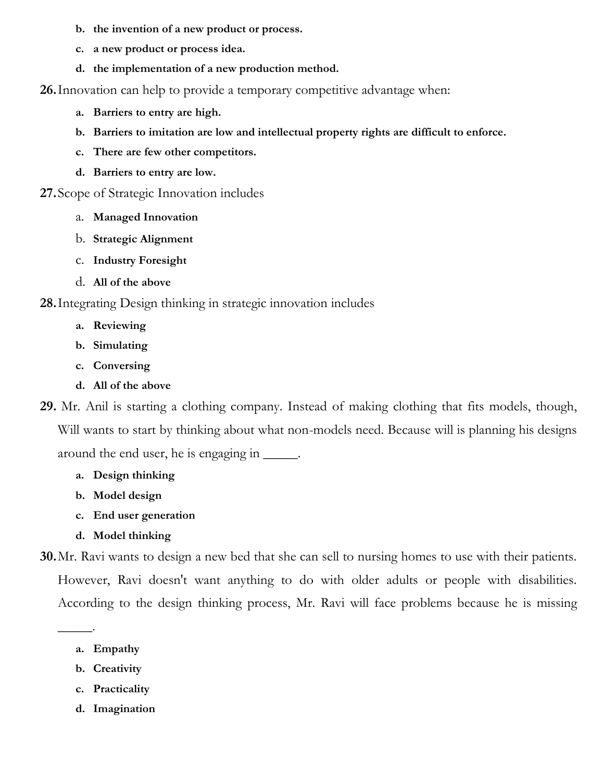- **b. the invention of a new product or process.**
- **c. a new product or process idea.**
- **d. the implementation of a new production method.**

**26.**Innovation can help to provide a temporary competitive advantage when:

- **a. Barriers to entry are high.**
- **b. Barriers to imitation are low and intellectual property rights are difficult to enforce.**
- **c. There are few other competitors.**
- **d. Barriers to entry are low.**

#### **27.**Scope of Strategic Innovation includes

- a. **Managed Innovation**
- b. **Strategic Alignment**
- c. **Industry Foresight**
- d. **All of the above**

### **28.**Integrating Design thinking in strategic innovation includes

- **a. Reviewing**
- **b. Simulating**
- **c. Conversing**
- **d. All of the above**
- **29.** Mr. Anil is starting a clothing company. Instead of making clothing that fits models, though, Will wants to start by thinking about what non-models need. Because will is planning his designs around the end user, he is engaging in \_\_\_\_\_.
	- **a. Design thinking**
	- **b. Model design**
	- **c. End user generation**
	- **d. Model thinking**

**30.**Mr. Ravi wants to design a new bed that she can sell to nursing homes to use with their patients. However, Ravi doesn't want anything to do with older adults or people with disabilities. According to the design thinking process, Mr. Ravi will face problems because he is missing

**a. Empathy**

\_\_\_\_\_.

- **b. Creativity**
- **c. Practicality**
- **d. Imagination**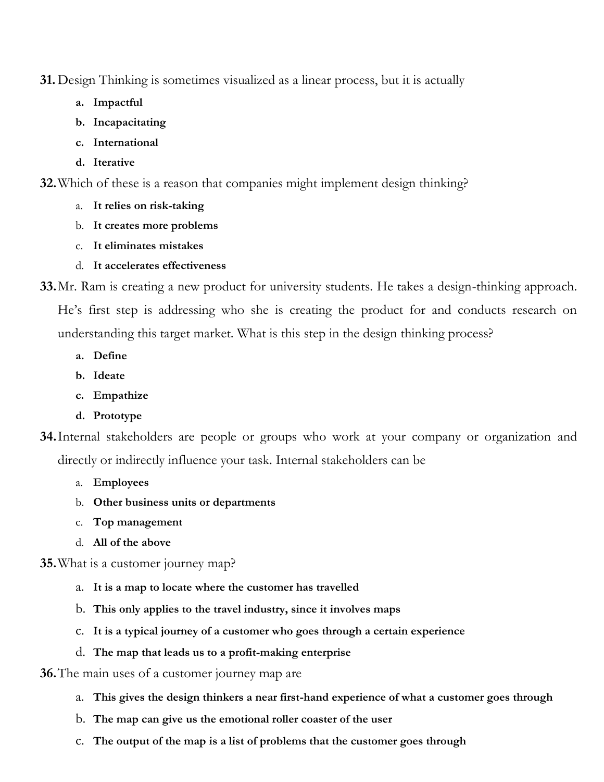**31.** Design Thinking is sometimes visualized as a linear process, but it is actually

- **a. Impactful**
- **b. Incapacitating**
- **c. International**
- **d. Iterative**

**32.**Which of these is a reason that companies might implement design thinking?

- a. **It relies on risk-taking**
- b. **It creates more problems**
- c. **It eliminates mistakes**
- d. **It accelerates effectiveness**
- **33.**Mr. Ram is creating a new product for university students. He takes a design-thinking approach. He's first step is addressing who she is creating the product for and conducts research on understanding this target market. What is this step in the design thinking process?
	- **a. Define**
	- **b. Ideate**
	- **c. Empathize**
	- **d. Prototype**
- **34.**Internal stakeholders are people or groups who work at your company or organization and directly or indirectly influence your task. Internal stakeholders can be
	- a. **Employees**
	- b. **Other business units or departments**
	- c. **Top management**
	- d. **All of the above**
- **35.**What is a customer journey map?
	- a. **It is a map to locate where the customer has travelled**
	- b. **This only applies to the travel industry, since it involves maps**
	- c. **It is a typical journey of a customer who goes through a certain experience**
	- d. **The map that leads us to a profit-making enterprise**
- **36.**The main uses of a customer journey map are
	- a. **This gives the design thinkers a near first-hand experience of what a customer goes through**
	- b. **The map can give us the emotional roller coaster of the user**
	- c. **The output of the map is a list of problems that the customer goes through**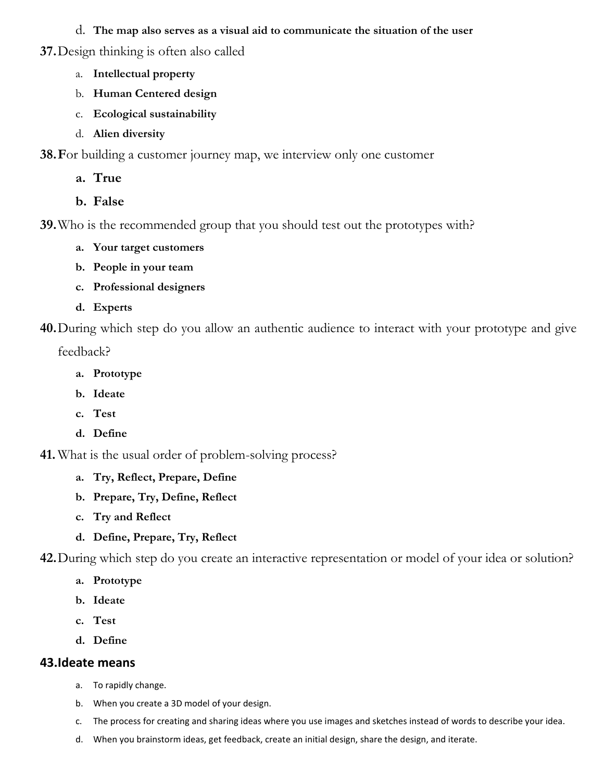- d. **The map also serves as a visual aid to communicate the situation of the user**
- **37.**Design thinking is often also called
	- a. **Intellectual property**
	- b. **Human Centered design**
	- c. **Ecological sustainability**
	- d. **Alien diversity**
- **38.F**or building a customer journey map, we interview only one customer
	- **a. True**
	- **b. False**

**39.**Who is the recommended group that you should test out the prototypes with?

- **a. Your target customers**
- **b. People in your team**
- **c. Professional designers**
- **d. Experts**

**40.**During which step do you allow an authentic audience to interact with your prototype and give

feedback?

- **a. Prototype**
- **b. Ideate**
- **c. Test**
- **d. Define**

**41.** What is the usual order of problem-solving process?

- **a. Try, Reflect, Prepare, Define**
- **b. Prepare, Try, Define, Reflect**
- **c. Try and Reflect**
- **d. Define, Prepare, Try, Reflect**

**42.**During which step do you create an interactive representation or model of your idea or solution?

- **a. Prototype**
- **b. Ideate**
- **c. Test**
- **d. Define**

## **43.Ideate means**

- a. To rapidly change.
- b. When you create a 3D model of your design.
- c. The process for creating and sharing ideas where you use images and sketches instead of words to describe your idea.
- d. When you brainstorm ideas, get feedback, create an initial design, share the design, and iterate.